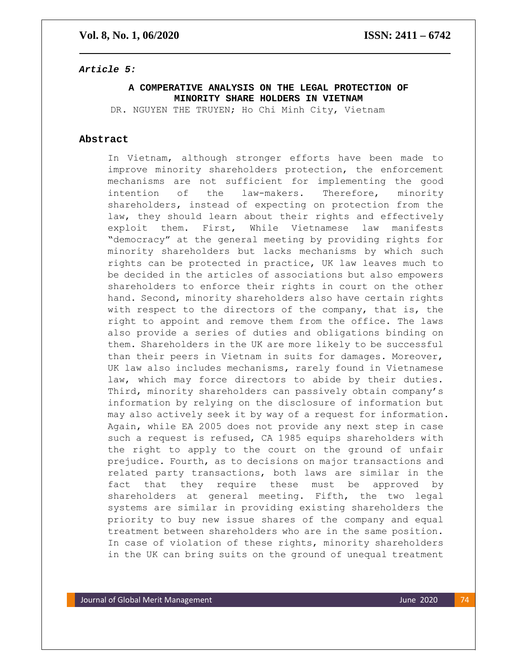## *Article 5:*

## **A COMPERATIVE ANALYSIS ON THE LEGAL PROTECTION OF MINORITY SHARE HOLDERS IN VIETNAM**

DR. NGUYEN THE TRUYEN; Ho Chi Minh City, Vietnam

## **Abstract**

In Vietnam, although stronger efforts have been made to improve minority shareholders protection, the enforcement mechanisms are not sufficient for implementing the good intention of the law-makers. Therefore, minority shareholders, instead of expecting on protection from the law, they should learn about their rights and effectively exploit them. First, While Vietnamese law manifests "democracy" at the general meeting by providing rights for minority shareholders but lacks mechanisms by which such rights can be protected in practice, UK law leaves much to be decided in the articles of associations but also empowers shareholders to enforce their rights in court on the other hand. Second, minority shareholders also have certain rights with respect to the directors of the company, that is, the right to appoint and remove them from the office. The laws also provide a series of duties and obligations binding on them. Shareholders in the UK are more likely to be successful than their peers in Vietnam in suits for damages. Moreover, UK law also includes mechanisms, rarely found in Vietnamese law, which may force directors to abide by their duties. Third, minority shareholders can passively obtain company's information by relying on the disclosure of information but may also actively seek it by way of a request for information. Again, while EA 2005 does not provide any next step in case such a request is refused, CA 1985 equips shareholders with the right to apply to the court on the ground of unfair prejudice. Fourth, as to decisions on major transactions and related party transactions, both laws are similar in the fact that they require these must be approved by shareholders at general meeting. Fifth, the two legal systems are similar in providing existing shareholders the priority to buy new issue shares of the company and equal treatment between shareholders who are in the same position. In case of violation of these rights, minority shareholders in the UK can bring suits on the ground of unequal treatment